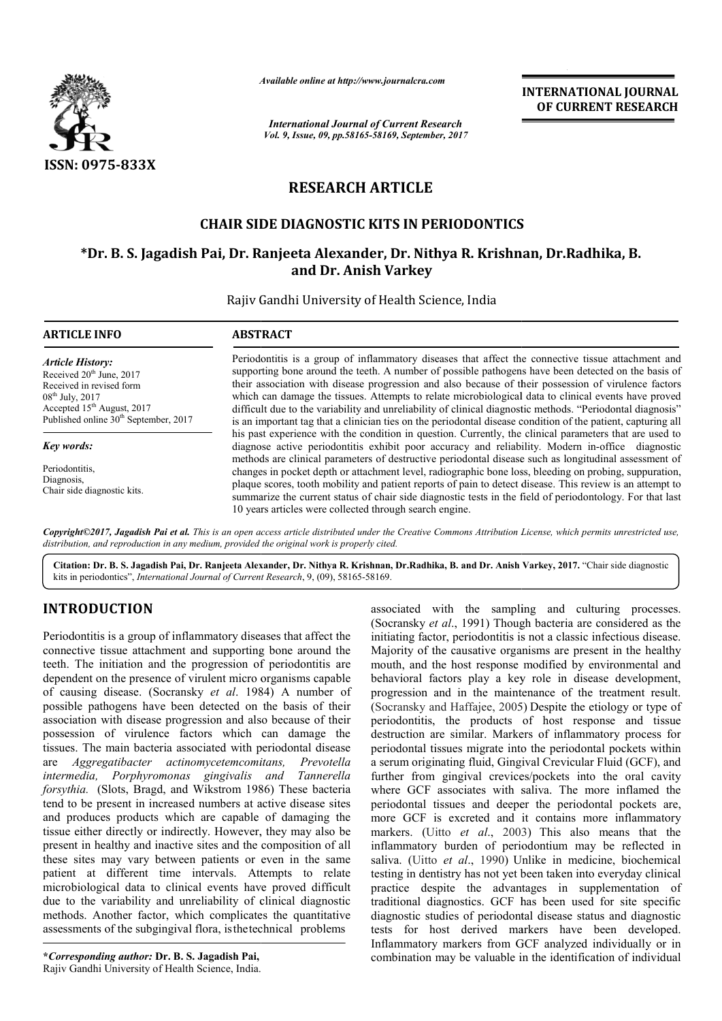

*Available online at http://www.journal http://www.journalcra.com*

*International Journal of Current Research Vol. 9, Issue, 09, pp.58165-58169, September, 2017* **INTERNATIONAL JOURNAL OF CURRENT RESEARCH** 

# **RESEARCH ARTICLE**

## **CHAIR SIDE DIAGNOSTIC KITS IN PERIODONTICS SIDE DIAGNOSTIC KITS IN PERIODONTICS**

## **\*Dr. B. S. Jagadish Pai, Dr. Ranjeeta Alexander, Dr. Nithya R R. Krishnan, Dr.Radhika, B. B. and Dr. Anish Varkey**

Rajiv Gandhi University of Health Science, India

| <b>ARTICLE INFO</b>                                                                                                                                                                                      | <b>ABSTRACT</b>                                                                                                                                                                                                                                                                                                                                                                                                                                                                                                                                                                                                                                                                                                                                                                                                                                                                                                                                                                                                                                                                                                                                                                                                                                                                                                                                                                |
|----------------------------------------------------------------------------------------------------------------------------------------------------------------------------------------------------------|--------------------------------------------------------------------------------------------------------------------------------------------------------------------------------------------------------------------------------------------------------------------------------------------------------------------------------------------------------------------------------------------------------------------------------------------------------------------------------------------------------------------------------------------------------------------------------------------------------------------------------------------------------------------------------------------------------------------------------------------------------------------------------------------------------------------------------------------------------------------------------------------------------------------------------------------------------------------------------------------------------------------------------------------------------------------------------------------------------------------------------------------------------------------------------------------------------------------------------------------------------------------------------------------------------------------------------------------------------------------------------|
| <b>Article History:</b><br>Received 20 <sup>th</sup> June, 2017<br>Received in revised form<br>$08^{th}$ July, 2017<br>Accepted $15th$ August, 2017<br>Published online 30 <sup>th</sup> September, 2017 | Periodontitis is a group of inflammatory diseases that affect the connective tissue attachment and<br>supporting bone around the teeth. A number of possible pathogens have been detected on the basis of<br>their association with disease progression and also because of their possession of virulence factors<br>which can damage the tissues. Attempts to relate microbiological data to clinical events have proved<br>difficult due to the variability and unreliability of clinical diagnostic methods. "Periodontal diagnosis"<br>is an important tag that a clinician ties on the periodontal disease condition of the patient, capturing all<br>his past experience with the condition in question. Currently, the clinical parameters that are used to<br>diagnose active periodontitis exhibit poor accuracy and reliability. Modern in-office diagnostic<br>methods are clinical parameters of destructive periodontal disease such as longitudinal assessment of<br>changes in pocket depth or attachment level, radiographic bone loss, bleeding on probing, suppuration,<br>plaque scores, tooth mobility and patient reports of pain to detect disease. This review is an attempt to<br>summarize the current status of chair side diagnostic tests in the field of periodontology. For that last<br>10 years articles were collected through search engine. |
| Key words:                                                                                                                                                                                               |                                                                                                                                                                                                                                                                                                                                                                                                                                                                                                                                                                                                                                                                                                                                                                                                                                                                                                                                                                                                                                                                                                                                                                                                                                                                                                                                                                                |
| Periodontitis.<br>Diagnosis,<br>Chair side diagnostic kits.                                                                                                                                              |                                                                                                                                                                                                                                                                                                                                                                                                                                                                                                                                                                                                                                                                                                                                                                                                                                                                                                                                                                                                                                                                                                                                                                                                                                                                                                                                                                                |

*Copyright©2017, Jagadish Pai et al. This is an open access article distributed under the Creative Commons Att Attribution License, which ribution permits unrestricted use, distribution, and reproduction in any medium, provided the original work is properly cited.*

**Citation: Dr. B. S. Jagadish Pai, Dr. Ranjeeta Alexander, Dr. Nithya R. Krishnan, Dr.Radhika, B. and Dr. Anish Varkey, Jagadish Pai, 2017.** "Chair side diagnostic kits in periodontics", *International Journal of Current Research* , 9, (09), 58165-58169.

## **INTRODUCTION**

Periodontitis is a group of inflammatory diseases that affect the connective tissue attachment and supporting bone around the teeth. The initiation and the progression of periodontitis are dependent on the presence of virulent micro organisms capable of causing disease. (Socransky *et al*. 1984) A number of possible pathogens have been detected on the basis of their association with disease progression and also because of their possession of virulence factors which can damage the tissues. The main bacteria associated with periodontal disease are *Aggregatibacter actinomycetemcomitans actinomycetemcomitans, Prevotella intermedia, Porphyromonas gingivalis and Tannerella forsythia.* (Slots, Bragd, and Wikstrom 1986) These bacteria tend to be present in increased numbers at active disease sites and produces products which are capable of damaging the tissue either directly or indirectly. However, they may also be present in healthy and inactive sites and the composition of all these sites may vary between patients or even in the same patient at different time intervals. Attempts to relate microbiological data to clinical events have proved difficult due to the variability and unreliability of clinical diagnostic methods. Another factor, which complicates the quantitative assessments of the subgingival flora, is the technical problems eased numbers at active disease sites<br>which are capable of damaging the<br>ndirectly. However, they may also be<br>netive sites and the composition of all<br>tween patients or even in the same<br>me intervals. Attempts to relate<br>clini

**\****Corresponding author:* **Dr. B. S. Jagadish Pai,** Rajiv Gandhi University of Health Science, India.

associated with the sampling and culturing processes.<br>
seases that affect the (socransky et at, 1991) Though bacteria are considered as the<br>
imitating factor, periodontitis is not a classic infectious disease.<br>
g bone aro (Socransky *et al*., 1991) Though bacteria are considered as the initiating factor, periodontitis is not a classic infectious disease. Majority of the causative organisms are present in the healthy mouth, and the host response modified by environmental and behavioral factors play a key role in disease development progression and in the maintenance of the treatment result. progression and in the maintenance of the treatment result.<br>(Socransky and Haffajee, 2005) Despite the etiology or type of periodontitis, the products of host response and tissue periodontitis, the products of host response and tissue destruction are similar. Markers of inflammatory process for periodontal tissues migrate into the periodontal pockets within a serum originating fluid, Gingival Crevicular Fluid (GCF), and further from gingival crevices/pockets into the oral cavity further from gingival crevices/pockets into the oral cavity where GCF associates with saliva. The more inflamed the periodontal tissues and deeper the periodontal pockets are, more GCF is excreted and it contains more inflammatory markers. (Uitto *et al.*, 2003) This also means that the inflammatory burden of periodontium may be reflected in inflammatory burden of periodontium may be reflected in saliva. (Uitto *et al.*, 1990) Unlike in medicine, biochemical testing in dentistry has not yet been taken into everyday clinical practice despite the advantages in supplementation of traditional diagnostics. GCF has been used for site specific diagnostic studies of periodontal disease status and diagnostic tests for host derived markers have been developed. Inflammatory markers from GCF analyzed individually or in combination may be valuable in the identification of individual associated with the sampling and culturing processes.<br>(Socransky *et al.*, 1991) Though bacteria are considered as the<br>initiating factor, periodontitis is not a classic infectious disease.<br>Majority of the causative organis in dentistry has not yet been taken into everyday clinical<br>e despite the advantages in supplementation of<br>nal diagnostics. GCF has been used for site specific<br>stic studies of periodontal disease status and diagnostic **EXERCISE ASSOCIENT (SCREEN ATTONAL JOURNAL FORMAL JOURNAL TOWAL JOURNAL TOURNAL TO COURRENT RESEARCH CHANGE CONSULT CONSULT THE CONSULT CONSULT CONSULT AND A UNIVERSEARCH CHANGE CONSULT AND A UNIVERSEARCH CHANGE CONSULT**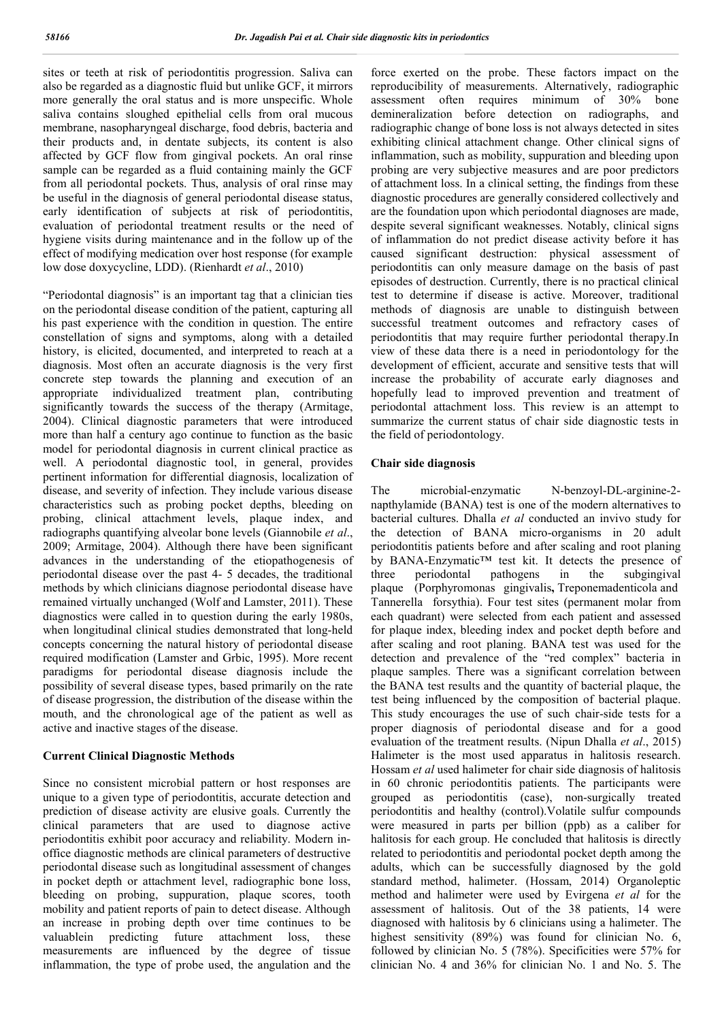sites or teeth at risk of periodontitis progression. Saliva can also be regarded as a diagnostic fluid but unlike GCF, it mirrors more generally the oral status and is more unspecific. Whole saliva contains sloughed epithelial cells from oral mucous membrane, nasopharyngeal discharge, food debris, bacteria and their products and, in dentate subjects, its content is also affected by GCF flow from gingival pockets. An oral rinse sample can be regarded as a fluid containing mainly the GCF from all periodontal pockets. Thus, analysis of oral rinse may be useful in the diagnosis of general periodontal disease status, early identification of subjects at risk of periodontitis, evaluation of periodontal treatment results or the need of hygiene visits during maintenance and in the follow up of the effect of modifying medication over host response (for example low dose doxycycline, LDD). (Rienhardt *et al*., 2010)

"Periodontal diagnosis" is an important tag that a clinician ties on the periodontal disease condition of the patient, capturing all his past experience with the condition in question. The entire constellation of signs and symptoms, along with a detailed history, is elicited, documented, and interpreted to reach at a diagnosis. Most often an accurate diagnosis is the very first concrete step towards the planning and execution of an appropriate individualized treatment plan, contributing significantly towards the success of the therapy (Armitage, 2004). Clinical diagnostic parameters that were introduced more than half a century ago continue to function as the basic model for periodontal diagnosis in current clinical practice as well. A periodontal diagnostic tool, in general, provides pertinent information for differential diagnosis, localization of disease, and severity of infection. They include various disease characteristics such as probing pocket depths, bleeding on probing, clinical attachment levels, plaque index, and radiographs quantifying alveolar bone levels (Giannobile *et al*., 2009; Armitage, 2004). Although there have been significant advances in the understanding of the etiopathogenesis of periodontal disease over the past 4- 5 decades, the traditional methods by which clinicians diagnose periodontal disease have remained virtually unchanged (Wolf and Lamster, 2011). These diagnostics were called in to question during the early 1980s, when longitudinal clinical studies demonstrated that long-held concepts concerning the natural history of periodontal disease required modification (Lamster and Grbic, 1995). More recent paradigms for periodontal disease diagnosis include the possibility of several disease types, based primarily on the rate of disease progression, the distribution of the disease within the mouth, and the chronological age of the patient as well as active and inactive stages of the disease.

#### **Current Clinical Diagnostic Methods**

Since no consistent microbial pattern or host responses are unique to a given type of periodontitis, accurate detection and prediction of disease activity are elusive goals. Currently the clinical parameters that are used to diagnose active periodontitis exhibit poor accuracy and reliability. Modern inoffice diagnostic methods are clinical parameters of destructive periodontal disease such as longitudinal assessment of changes in pocket depth or attachment level, radiographic bone loss, bleeding on probing, suppuration, plaque scores, tooth mobility and patient reports of pain to detect disease. Although an increase in probing depth over time continues to be valuablein predicting future attachment loss, these measurements are influenced by the degree of tissue inflammation, the type of probe used, the angulation and the

force exerted on the probe. These factors impact on the reproducibility of measurements. Alternatively, radiographic assessment often requires minimum of 30% bone demineralization before detection on radiographs, and radiographic change of bone loss is not always detected in sites exhibiting clinical attachment change. Other clinical signs of inflammation, such as mobility, suppuration and bleeding upon probing are very subjective measures and are poor predictors of attachment loss. In a clinical setting, the findings from these diagnostic procedures are generally considered collectively and are the foundation upon which periodontal diagnoses are made, despite several significant weaknesses. Notably, clinical signs of inflammation do not predict disease activity before it has caused significant destruction: physical assessment of periodontitis can only measure damage on the basis of past episodes of destruction. Currently, there is no practical clinical test to determine if disease is active. Moreover, traditional methods of diagnosis are unable to distinguish between successful treatment outcomes and refractory cases of periodontitis that may require further periodontal therapy.In view of these data there is a need in periodontology for the development of efficient, accurate and sensitive tests that will increase the probability of accurate early diagnoses and hopefully lead to improved prevention and treatment of periodontal attachment loss. This review is an attempt to summarize the current status of chair side diagnostic tests in the field of periodontology.

#### **Chair side diagnosis**

The microbial-enzymatic N-benzoyl-DL-arginine-2 napthylamide (BANA) test is one of the modern alternatives to bacterial cultures. Dhalla *et al* conducted an invivo study for the detection of BANA micro-organisms in 20 adult periodontitis patients before and after scaling and root planing by BANA-Enzymatic™ test kit. It detects the presence of three periodontal pathogens in the subgingival plaque (Porphyromonas gingivalis**,** Treponemadenticola and Tannerella forsythia). Four test sites (permanent molar from each quadrant) were selected from each patient and assessed for plaque index, bleeding index and pocket depth before and after scaling and root planing. BANA test was used for the detection and prevalence of the "red complex" bacteria in plaque samples. There was a significant correlation between the BANA test results and the quantity of bacterial plaque, the test being influenced by the composition of bacterial plaque. This study encourages the use of such chair-side tests for a proper diagnosis of periodontal disease and for a good evaluation of the treatment results. (Nipun Dhalla *et al*., 2015) Halimeter is the most used apparatus in halitosis research. Hossam *et al* used halimeter for chair side diagnosis of halitosis in 60 chronic periodontitis patients. The participants were grouped as periodontitis (case), non-surgically treated periodontitis and healthy (control).Volatile sulfur compounds were measured in parts per billion (ppb) as a caliber for halitosis for each group. He concluded that halitosis is directly related to periodontitis and periodontal pocket depth among the adults, which can be successfully diagnosed by the gold standard method, halimeter. (Hossam, 2014) Organoleptic method and halimeter were used by Evirgena *et al* for the assessment of halitosis. Out of the 38 patients, 14 were diagnosed with halitosis by 6 clinicians using a halimeter. The highest sensitivity (89%) was found for clinician No. 6, followed by clinician No. 5 (78%). Specificities were 57% for clinician No. 4 and 36% for clinician No. 1 and No. 5. The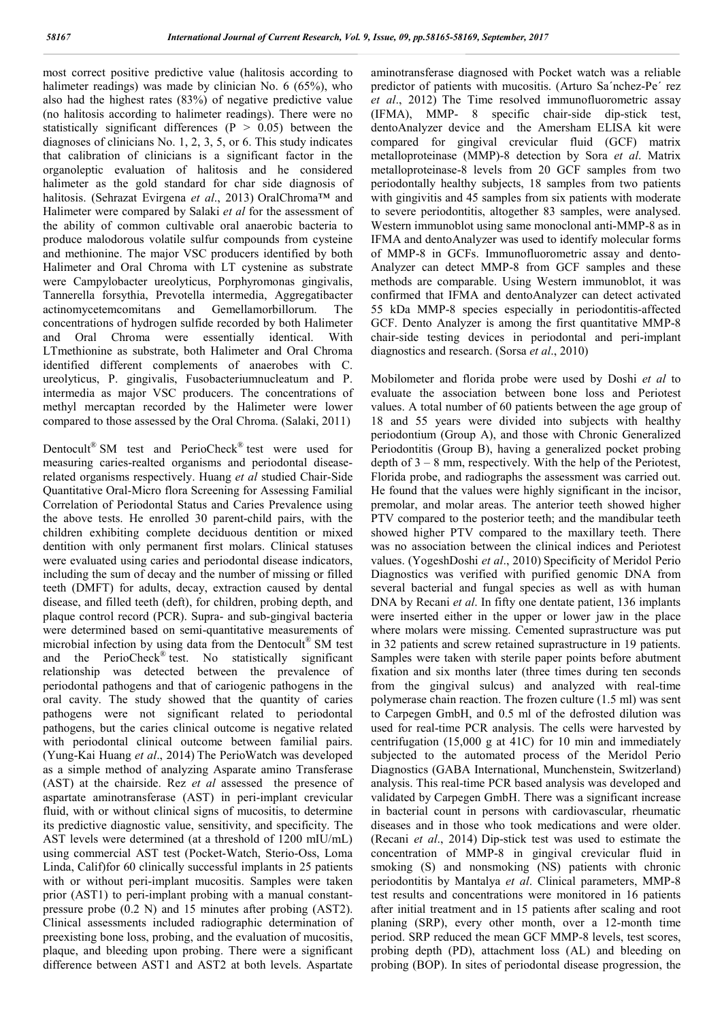most correct positive predictive value (halitosis according to halimeter readings) was made by clinician No. 6 (65%), who also had the highest rates (83%) of negative predictive value (no halitosis according to halimeter readings). There were no statistically significant differences ( $P > 0.05$ ) between the diagnoses of clinicians No. 1, 2, 3, 5, or 6. This study indicates that calibration of clinicians is a significant factor in the organoleptic evaluation of halitosis and he considered halimeter as the gold standard for char side diagnosis of halitosis. (Sehrazat Evirgena *et al*., 2013) OralChroma™ and Halimeter were compared by Salaki *et al* for the assessment of the ability of common cultivable oral anaerobic bacteria to produce malodorous volatile sulfur compounds from cysteine and methionine. The major VSC producers identified by both Halimeter and Oral Chroma with LT cystenine as substrate were Campylobacter ureolyticus, Porphyromonas gingivalis, Tannerella forsythia, Prevotella intermedia, Aggregatibacter actinomycetemcomitans and Gemellamorbillorum. The concentrations of hydrogen sulfide recorded by both Halimeter and Oral Chroma were essentially identical. With LTmethionine as substrate, both Halimeter and Oral Chroma identified different complements of anaerobes with C. ureolyticus, P. gingivalis, Fusobacteriumnucleatum and P. intermedia as major VSC producers. The concentrations of methyl mercaptan recorded by the Halimeter were lower compared to those assessed by the Oral Chroma. (Salaki, 2011)

Dentocult® SM test and PerioCheck® test were used for measuring caries-realted organisms and periodontal diseaserelated organisms respectively. Huang *et al* studied Chair-Side Quantitative Oral-Micro flora Screening for Assessing Familial Correlation of Periodontal Status and Caries Prevalence using the above tests. He enrolled 30 parent-child pairs, with the children exhibiting complete deciduous dentition or mixed dentition with only permanent first molars. Clinical statuses were evaluated using caries and periodontal disease indicators, including the sum of decay and the number of missing or filled teeth (DMFT) for adults, decay, extraction caused by dental disease, and filled teeth (deft), for children, probing depth, and plaque control record (PCR). Supra- and sub-gingival bacteria were determined based on semi-quantitative measurements of microbial infection by using data from the Dentocult<sup>®</sup> SM test and the PerioCheck® test. No statistically significant relationship was detected between the prevalence of periodontal pathogens and that of cariogenic pathogens in the oral cavity. The study showed that the quantity of caries pathogens were not significant related to periodontal pathogens, but the caries clinical outcome is negative related with periodontal clinical outcome between familial pairs. (Yung-Kai Huang *et al*., 2014) The PerioWatch was developed as a simple method of analyzing Asparate amino Transferase (AST) at the chairside. Rez *et al* assessed the presence of aspartate aminotransferase (AST) in peri-implant crevicular fluid, with or without clinical signs of mucositis, to determine its predictive diagnostic value, sensitivity, and specificity. The AST levels were determined (at a threshold of 1200 mIU/mL) using commercial AST test (Pocket-Watch, Sterio-Oss, Loma Linda, Calif)for 60 clinically successful implants in 25 patients with or without peri-implant mucositis. Samples were taken prior (AST1) to peri-implant probing with a manual constantpressure probe (0.2 N) and 15 minutes after probing (AST2). Clinical assessments included radiographic determination of preexisting bone loss, probing, and the evaluation of mucositis, plaque, and bleeding upon probing. There were a significant difference between AST1 and AST2 at both levels. Aspartate

aminotransferase diagnosed with Pocket watch was a reliable predictor of patients with mucositis. (Arturo Sa´nchez-Pe´ rez *et al*., 2012) The Time resolved immunofluorometric assay (IFMA), MMP- 8 specific chair-side dip-stick test, dentoAnalyzer device and the Amersham ELISA kit were compared for gingival crevicular fluid (GCF) matrix metalloproteinase (MMP)-8 detection by Sora *et al*. Matrix metalloproteinase-8 levels from 20 GCF samples from two periodontally healthy subjects, 18 samples from two patients with gingivitis and 45 samples from six patients with moderate to severe periodontitis, altogether 83 samples, were analysed. Western immunoblot using same monoclonal anti-MMP-8 as in IFMA and dentoAnalyzer was used to identify molecular forms of MMP-8 in GCFs. Immunofluorometric assay and dento-Analyzer can detect MMP-8 from GCF samples and these methods are comparable. Using Western immunoblot, it was confirmed that IFMA and dentoAnalyzer can detect activated 55 kDa MMP-8 species especially in periodontitis-affected GCF. Dento Analyzer is among the first quantitative MMP-8 chair-side testing devices in periodontal and peri-implant diagnostics and research. (Sorsa *et al*., 2010)

Mobilometer and florida probe were used by Doshi *et al* to evaluate the association between bone loss and Periotest values. A total number of 60 patients between the age group of 18 and 55 years were divided into subjects with healthy periodontium (Group A), and those with Chronic Generalized Periodontitis (Group B), having a generalized pocket probing depth of  $3 - 8$  mm, respectively. With the help of the Periotest, Florida probe, and radiographs the assessment was carried out. He found that the values were highly significant in the incisor, premolar, and molar areas. The anterior teeth showed higher PTV compared to the posterior teeth; and the mandibular teeth showed higher PTV compared to the maxillary teeth. There was no association between the clinical indices and Periotest values. (YogeshDoshi *et al*., 2010) Specificity of Meridol Perio Diagnostics was verified with purified genomic DNA from several bacterial and fungal species as well as with human DNA by Recani *et al*. In fifty one dentate patient, 136 implants were inserted either in the upper or lower jaw in the place where molars were missing. Cemented suprastructure was put in 32 patients and screw retained suprastructure in 19 patients. Samples were taken with sterile paper points before abutment fixation and six months later (three times during ten seconds from the gingival sulcus) and analyzed with real-time polymerase chain reaction. The frozen culture (1.5 ml) was sent to Carpegen GmbH, and 0.5 ml of the defrosted dilution was used for real-time PCR analysis. The cells were harvested by centrifugation (15,000 g at 41C) for 10 min and immediately subjected to the automated process of the Meridol Perio Diagnostics (GABA International, Munchenstein, Switzerland) analysis. This real-time PCR based analysis was developed and validated by Carpegen GmbH. There was a significant increase in bacterial count in persons with cardiovascular, rheumatic diseases and in those who took medications and were older. (Recani *et al*., 2014) Dip-stick test was used to estimate the concentration of MMP-8 in gingival crevicular fluid in smoking (S) and nonsmoking (NS) patients with chronic periodontitis by Mantalya *et al*. Clinical parameters, MMP-8 test results and concentrations were monitored in 16 patients after initial treatment and in 15 patients after scaling and root planing (SRP), every other month, over a 12-month time period. SRP reduced the mean GCF MMP-8 levels, test scores, probing depth (PD), attachment loss (AL) and bleeding on probing (BOP). In sites of periodontal disease progression, the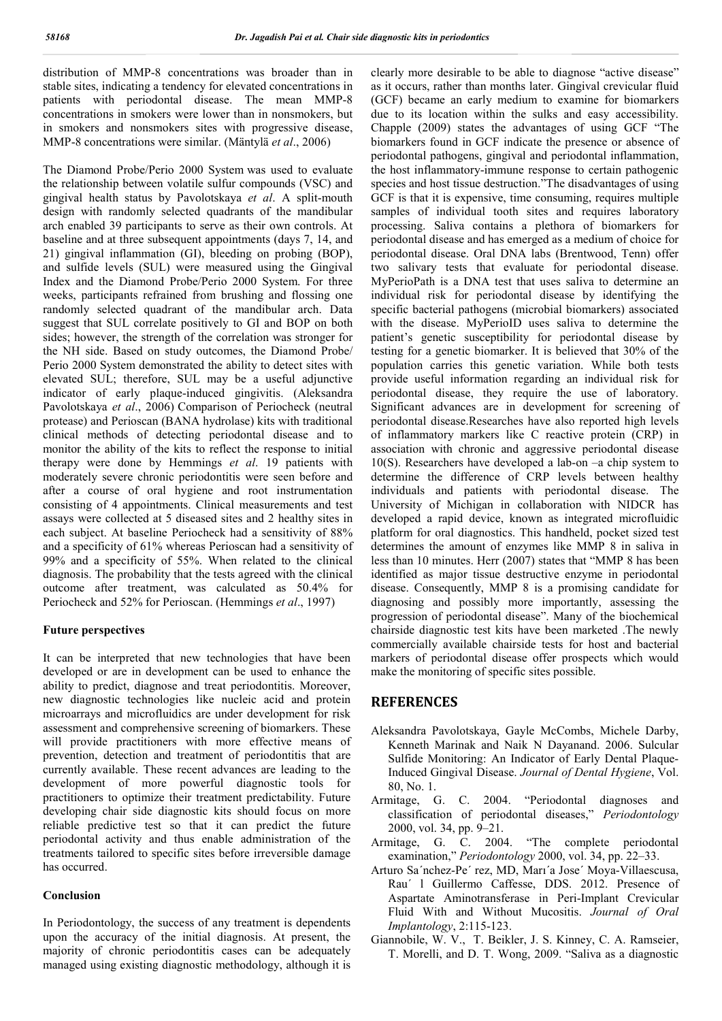distribution of MMP-8 concentrations was broader than in stable sites, indicating a tendency for elevated concentrations in patients with periodontal disease. The mean MMP-8 concentrations in smokers were lower than in nonsmokers, but in smokers and nonsmokers sites with progressive disease, MMP-8 concentrations were similar. (Mäntylä *et al*., 2006)

The Diamond Probe/Perio 2000 System was used to evaluate the relationship between volatile sulfur compounds (VSC) and gingival health status by Pavolotskaya *et al*. A split-mouth design with randomly selected quadrants of the mandibular arch enabled 39 participants to serve as their own controls. At baseline and at three subsequent appointments (days 7, 14, and 21) gingival inflammation (GI), bleeding on probing (BOP), and sulfide levels (SUL) were measured using the Gingival Index and the Diamond Probe/Perio 2000 System. For three weeks, participants refrained from brushing and flossing one randomly selected quadrant of the mandibular arch. Data suggest that SUL correlate positively to GI and BOP on both sides; however, the strength of the correlation was stronger for the NH side. Based on study outcomes, the Diamond Probe/ Perio 2000 System demonstrated the ability to detect sites with elevated SUL; therefore, SUL may be a useful adjunctive indicator of early plaque-induced gingivitis. (Aleksandra Pavolotskaya *et al*., 2006) Comparison of Periocheck (neutral protease) and Perioscan (BANA hydrolase) kits with traditional clinical methods of detecting periodontal disease and to monitor the ability of the kits to reflect the response to initial therapy were done by Hemmings *et al*. 19 patients with moderately severe chronic periodontitis were seen before and after a course of oral hygiene and root instrumentation consisting of 4 appointments. Clinical measurements and test assays were collected at 5 diseased sites and 2 healthy sites in each subject. At baseline Periocheck had a sensitivity of 88% and a specificity of 61% whereas Perioscan had a sensitivity of 99% and a specificity of 55%. When related to the clinical diagnosis. The probability that the tests agreed with the clinical outcome after treatment, was calculated as 50.4% for Periocheck and 52% for Perioscan. (Hemmings *et al*., 1997)

#### **Future perspectives**

It can be interpreted that new technologies that have been developed or are in development can be used to enhance the ability to predict, diagnose and treat periodontitis. Moreover, new diagnostic technologies like nucleic acid and protein microarrays and microfluidics are under development for risk assessment and comprehensive screening of biomarkers. These will provide practitioners with more effective means of prevention, detection and treatment of periodontitis that are currently available. These recent advances are leading to the development of more powerful diagnostic tools for practitioners to optimize their treatment predictability. Future developing chair side diagnostic kits should focus on more reliable predictive test so that it can predict the future periodontal activity and thus enable administration of the treatments tailored to specific sites before irreversible damage has occurred.

#### **Conclusion**

In Periodontology, the success of any treatment is dependents upon the accuracy of the initial diagnosis. At present, the majority of chronic periodontitis cases can be adequately managed using existing diagnostic methodology, although it is clearly more desirable to be able to diagnose "active disease" as it occurs, rather than months later. Gingival crevicular fluid (GCF) became an early medium to examine for biomarkers due to its location within the sulks and easy accessibility. Chapple (2009) states the advantages of using GCF "The biomarkers found in GCF indicate the presence or absence of periodontal pathogens, gingival and periodontal inflammation, the host inflammatory-immune response to certain pathogenic species and host tissue destruction."The disadvantages of using GCF is that it is expensive, time consuming, requires multiple samples of individual tooth sites and requires laboratory processing. Saliva contains a plethora of biomarkers for periodontal disease and has emerged as a medium of choice for periodontal disease. Oral DNA labs (Brentwood, Tenn) offer two salivary tests that evaluate for periodontal disease. MyPerioPath is a DNA test that uses saliva to determine an individual risk for periodontal disease by identifying the specific bacterial pathogens (microbial biomarkers) associated with the disease. MyPerioID uses saliva to determine the patient's genetic susceptibility for periodontal disease by testing for a genetic biomarker. It is believed that 30% of the population carries this genetic variation. While both tests provide useful information regarding an individual risk for periodontal disease, they require the use of laboratory. Significant advances are in development for screening of periodontal disease.Researches have also reported high levels of inflammatory markers like C reactive protein (CRP) in association with chronic and aggressive periodontal disease 10(S). Researchers have developed a lab-on –a chip system to determine the difference of CRP levels between healthy individuals and patients with periodontal disease. The University of Michigan in collaboration with NIDCR has developed a rapid device, known as integrated microfluidic platform for oral diagnostics. This handheld, pocket sized test determines the amount of enzymes like MMP 8 in saliva in less than 10 minutes. Herr (2007) states that "MMP 8 has been identified as major tissue destructive enzyme in periodontal disease. Consequently, MMP 8 is a promising candidate for diagnosing and possibly more importantly, assessing the progression of periodontal disease". Many of the biochemical chairside diagnostic test kits have been marketed .The newly commercially available chairside tests for host and bacterial markers of periodontal disease offer prospects which would make the monitoring of specific sites possible.

### **REFERENCES**

- Aleksandra Pavolotskaya, Gayle McCombs, Michele Darby, Kenneth Marinak and Naik N Dayanand. 2006. Sulcular Sulfide Monitoring: An Indicator of Early Dental Plaque-Induced Gingival Disease. *Journal of Dental Hygiene*, Vol. 80, No. 1.
- Armitage, G. C. 2004. "Periodontal diagnoses and classification of periodontal diseases," *Periodontology* 2000, vol. 34, pp. 9–21.
- Armitage, G. C. 2004. "The complete periodontal examination," *Periodontology* 2000, vol. 34, pp. 22–33.
- Arturo Sa´nchez-Pe´ rez, MD, Marı´a Jose´ Moya-Villaescusa, Rau´ l Guillermo Caffesse, DDS. 2012. Presence of Aspartate Aminotransferase in Peri-Implant Crevicular Fluid With and Without Mucositis. *Journal of Oral Implantology*, 2:115-123.
- Giannobile, W. V., T. Beikler, J. S. Kinney, C. A. Ramseier, T. Morelli, and D. T. Wong, 2009. "Saliva as a diagnostic